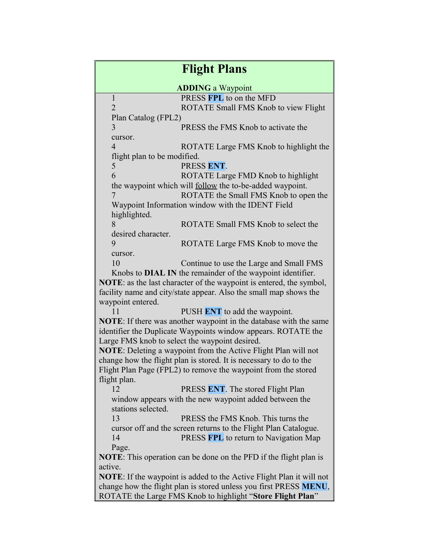| <b>Flight Plans</b>                                                                                                     |                                                                   |
|-------------------------------------------------------------------------------------------------------------------------|-------------------------------------------------------------------|
| <b>ADDING</b> a Waypoint                                                                                                |                                                                   |
| $\mathbf{1}$                                                                                                            | PRESS FPL to on the MFD                                           |
| $\overline{2}$                                                                                                          | ROTATE Small FMS Knob to view Flight                              |
| Plan Catalog (FPL2)                                                                                                     |                                                                   |
| 3                                                                                                                       | PRESS the FMS Knob to activate the                                |
| cursor.                                                                                                                 |                                                                   |
| $\overline{4}$                                                                                                          | ROTATE Large FMS Knob to highlight the                            |
| flight plan to be modified.                                                                                             |                                                                   |
| 5                                                                                                                       | PRESS ENT.                                                        |
| 6                                                                                                                       | ROTATE Large FMD Knob to highlight                                |
|                                                                                                                         | the waypoint which will <b>follow</b> the to-be-added waypoint.   |
| 7                                                                                                                       | ROTATE the Small FMS Knob to open the                             |
| Waypoint Information window with the IDENT Field                                                                        |                                                                   |
| highlighted.                                                                                                            |                                                                   |
| 8                                                                                                                       | ROTATE Small FMS Knob to select the                               |
| desired character.                                                                                                      |                                                                   |
| 9                                                                                                                       | ROTATE Large FMS Knob to move the                                 |
| cursor.                                                                                                                 |                                                                   |
| 10                                                                                                                      | Continue to use the Large and Small FMS                           |
| Knobs to <b>DIAL IN</b> the remainder of the waypoint identifier.                                                       |                                                                   |
| <b>NOTE</b> : as the last character of the waypoint is entered, the symbol,                                             |                                                                   |
|                                                                                                                         | facility name and city/state appear. Also the small map shows the |
| waypoint entered.                                                                                                       |                                                                   |
| 11                                                                                                                      | PUSH ENT to add the waypoint.                                     |
| NOTE: If there was another waypoint in the database with the same                                                       |                                                                   |
| identifier the Duplicate Waypoints window appears. ROTATE the                                                           |                                                                   |
| Large FMS knob to select the waypoint desired.<br><b>NOTE:</b> Deleting a waypoint from the Active Flight Plan will not |                                                                   |
| change how the flight plan is stored. It is necessary to do to the                                                      |                                                                   |
| Flight Plan Page (FPL2) to remove the waypoint from the stored                                                          |                                                                   |
| flight plan.                                                                                                            |                                                                   |
| 12                                                                                                                      | PRESS ENT. The stored Flight Plan                                 |
|                                                                                                                         | window appears with the new waypoint added between the            |
| stations selected.                                                                                                      |                                                                   |
| 13                                                                                                                      | PRESS the FMS Knob. This turns the                                |
|                                                                                                                         | cursor off and the screen returns to the Flight Plan Catalogue.   |
| 14                                                                                                                      | PRESS FPL to return to Navigation Map                             |
| Page.                                                                                                                   |                                                                   |
| <b>NOTE:</b> This operation can be done on the PFD if the flight plan is                                                |                                                                   |
| active.                                                                                                                 |                                                                   |
| <b>NOTE:</b> If the waypoint is added to the Active Flight Plan it will not                                             |                                                                   |
| change how the flight plan is stored unless you first PRESS MENU,                                                       |                                                                   |
| ROTATE the Large FMS Knob to highlight "Store Flight Plan"                                                              |                                                                   |